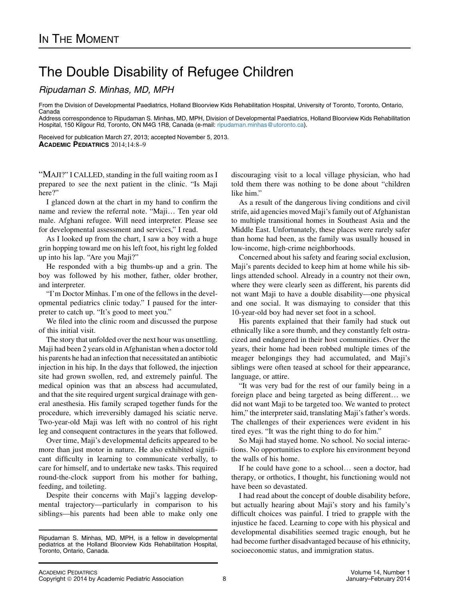## The Double Disability of Refugee Children

Ripudaman S. Minhas, MD, MPH

From the Division of Developmental Paediatrics, Holland Bloorview Kids Rehabilitation Hospital, University of Toronto, Toronto, Ontario, Canada

Address correspondence to Ripudaman S. Minhas, MD, MPH, Division of Developmental Paediatrics, Holland Bloorview Kids Rehabilitation Hospital, 150 Kilgour Rd, Toronto, ON M4G 1R8, Canada (e-mail: [ripudaman.minhas@utoronto.ca\)](mailto:ripudaman.minhas@utoronto.ca).

Received for publication March 27, 2013; accepted November 5, 2013. ACADEMIC PEDIATRICS 2014;14:8–9

"MAJI?" I CALLED, standing in the full waiting room as I prepared to see the next patient in the clinic. "Is Maji here?"

I glanced down at the chart in my hand to confirm the name and review the referral note. "Maji... Ten year old male. Afghani refugee. Will need interpreter. Please see for developmental assessment and services," I read.

As I looked up from the chart, I saw a boy with a huge grin hopping toward me on his left foot, his right leg folded up into his lap. "Are you Maji?"

He responded with a big thumbs-up and a grin. The boy was followed by his mother, father, older brother, and interpreter.

"I'm Doctor Minhas. I'm one of the fellows in the developmental pediatrics clinic today." I paused for the interpreter to catch up. "It's good to meet you."

We filed into the clinic room and discussed the purpose of this initial visit.

The story that unfolded over the next hour was unsettling. Maji had been 2 years old in Afghanistan when a doctor told his parents he had an infection that necessitated an antibiotic injection in his hip. In the days that followed, the injection site had grown swollen, red, and extremely painful. The medical opinion was that an abscess had accumulated, and that the site required urgent surgical drainage with general anesthesia. His family scraped together funds for the procedure, which irreversibly damaged his sciatic nerve. Two-year-old Maji was left with no control of his right leg and consequent contractures in the years that followed.

Over time, Maji's developmental deficits appeared to be more than just motor in nature. He also exhibited significant difficulty in learning to communicate verbally, to care for himself, and to undertake new tasks. This required round-the-clock support from his mother for bathing, feeding, and toileting.

Despite their concerns with Maji's lagging developmental trajectory—particularly in comparison to his siblings—his parents had been able to make only one

discouraging visit to a local village physician, who had told them there was nothing to be done about "children like him."

As a result of the dangerous living conditions and civil strife, aid agencies moved Maji's family out of Afghanistan to multiple transitional homes in Southeast Asia and the Middle East. Unfortunately, these places were rarely safer than home had been, as the family was usually housed in low-income, high-crime neighborhoods.

Concerned about his safety and fearing social exclusion, Maji's parents decided to keep him at home while his siblings attended school. Already in a country not their own, where they were clearly seen as different, his parents did not want Maji to have a double disability—one physical and one social. It was dismaying to consider that this 10-year-old boy had never set foot in a school.

His parents explained that their family had stuck out ethnically like a sore thumb, and they constantly felt ostracized and endangered in their host communities. Over the years, their home had been robbed multiple times of the meager belongings they had accumulated, and Maji's siblings were often teased at school for their appearance, language, or attire.

"It was very bad for the rest of our family being in a foreign place and being targeted as being different. we did not want Maji to be targeted too. We wanted to protect him," the interpreter said, translating Maji's father's words. The challenges of their experiences were evident in his tired eyes. "It was the right thing to do for him."

So Maji had stayed home. No school. No social interactions. No opportunities to explore his environment beyond the walls of his home.

If he could have gone to a school... seen a doctor, had therapy, or orthotics, I thought, his functioning would not have been so devastated.

I had read about the concept of double disability before, but actually hearing about Maji's story and his family's difficult choices was painful. I tried to grapple with the injustice he faced. Learning to cope with his physical and developmental disabilities seemed tragic enough, but he had become further disadvantaged because of his ethnicity, socioeconomic status, and immigration status.

Ripudaman S. Minhas, MD, MPH, is a fellow in developmental pediatrics at the Holland Bloorview Kids Rehabilitation Hospital, Toronto, Ontario, Canada.